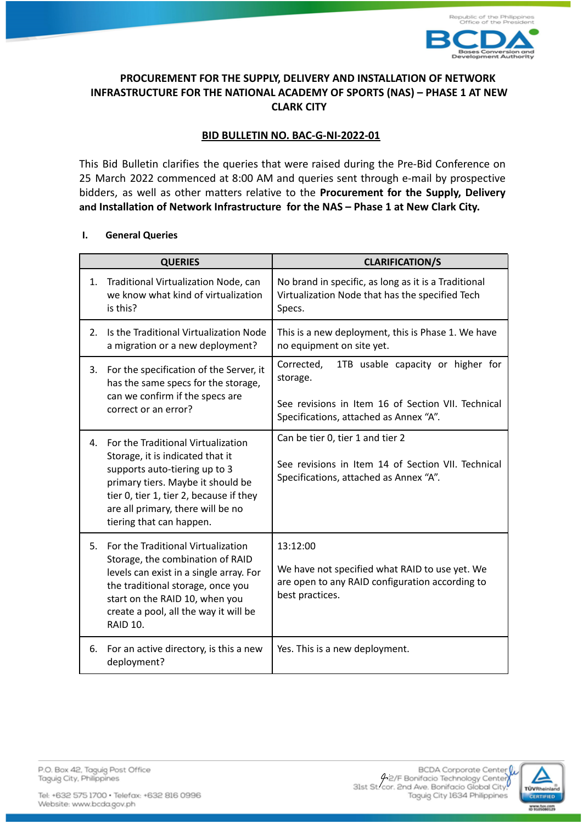

# **PROCUREMENT FOR THE SUPPLY, DELIVERY AND INSTALLATION OF NETWORK INFRASTRUCTURE FOR THE NATIONAL ACADEMY OF SPORTS (NAS) – PHASE 1 AT NEW CLARK CITY**

# **BID BULLETIN NO. BAC-G-NI-2022-01**

This Bid Bulletin clarifies the queries that were raised during the Pre-Bid Conference on 25 March 2022 commenced at 8:00 AM and queries sent through e-mail by prospective bidders, as well as other matters relative to the **Procurement for the Supply, Delivery and Installation of Network Infrastructure for the NAS – Phase 1 at New Clark City.**

### **I. General Queries**

| <b>QUERIES</b> |                                                                                                                                                                                                                                                          | <b>CLARIFICATION/S</b>                                                                                                                                      |  |
|----------------|----------------------------------------------------------------------------------------------------------------------------------------------------------------------------------------------------------------------------------------------------------|-------------------------------------------------------------------------------------------------------------------------------------------------------------|--|
| 1.             | Traditional Virtualization Node, can<br>we know what kind of virtualization<br>is this?                                                                                                                                                                  | No brand in specific, as long as it is a Traditional<br>Virtualization Node that has the specified Tech<br>Specs.                                           |  |
| 2.             | Is the Traditional Virtualization Node<br>a migration or a new deployment?                                                                                                                                                                               | This is a new deployment, this is Phase 1. We have<br>no equipment on site yet.                                                                             |  |
| 3.             | For the specification of the Server, it<br>has the same specs for the storage,<br>can we confirm if the specs are<br>correct or an error?                                                                                                                | 1TB usable capacity or higher for<br>Corrected,<br>storage.<br>See revisions in Item 16 of Section VII. Technical<br>Specifications, attached as Annex "A". |  |
| 4.             | For the Traditional Virtualization<br>Storage, it is indicated that it<br>supports auto-tiering up to 3<br>primary tiers. Maybe it should be<br>tier 0, tier 1, tier 2, because if they<br>are all primary, there will be no<br>tiering that can happen. | Can be tier 0, tier 1 and tier 2<br>See revisions in Item 14 of Section VII. Technical<br>Specifications, attached as Annex "A".                            |  |
| 5.             | For the Traditional Virtualization<br>Storage, the combination of RAID<br>levels can exist in a single array. For<br>the traditional storage, once you<br>start on the RAID 10, when you<br>create a pool, all the way it will be<br><b>RAID 10.</b>     | 13:12:00<br>We have not specified what RAID to use yet. We<br>are open to any RAID configuration according to<br>best practices.                            |  |
| 6.             | For an active directory, is this a new<br>deployment?                                                                                                                                                                                                    | Yes. This is a new deployment.                                                                                                                              |  |



P.O. Box 42, Taguig Post Office Taguig City, Philippines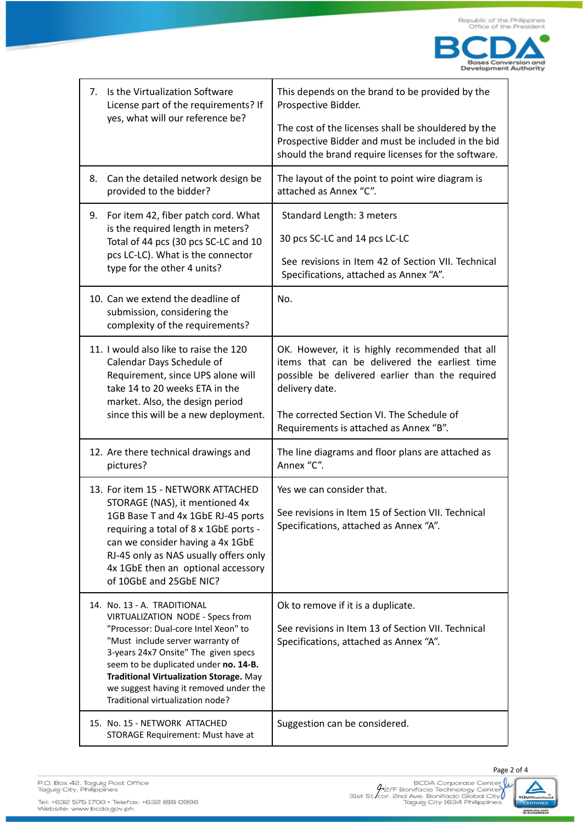

| 7. | Is the Virtualization Software<br>License part of the requirements? If                                                                                                                                                                                                                                                                                | This depends on the brand to be provided by the<br>Prospective Bidder.                                                                                                                                                                                      |  |
|----|-------------------------------------------------------------------------------------------------------------------------------------------------------------------------------------------------------------------------------------------------------------------------------------------------------------------------------------------------------|-------------------------------------------------------------------------------------------------------------------------------------------------------------------------------------------------------------------------------------------------------------|--|
|    | yes, what will our reference be?                                                                                                                                                                                                                                                                                                                      | The cost of the licenses shall be shouldered by the<br>Prospective Bidder and must be included in the bid<br>should the brand require licenses for the software.                                                                                            |  |
| 8. | Can the detailed network design be<br>provided to the bidder?                                                                                                                                                                                                                                                                                         | The layout of the point to point wire diagram is<br>attached as Annex "C".                                                                                                                                                                                  |  |
| 9. | For item 42, fiber patch cord. What<br>is the required length in meters?<br>Total of 44 pcs (30 pcs SC-LC and 10<br>pcs LC-LC). What is the connector<br>type for the other 4 units?                                                                                                                                                                  | Standard Length: 3 meters<br>30 pcs SC-LC and 14 pcs LC-LC<br>See revisions in Item 42 of Section VII. Technical<br>Specifications, attached as Annex "A".                                                                                                  |  |
|    | 10. Can we extend the deadline of<br>submission, considering the<br>complexity of the requirements?                                                                                                                                                                                                                                                   | No.                                                                                                                                                                                                                                                         |  |
|    | 11. I would also like to raise the 120<br>Calendar Days Schedule of<br>Requirement, since UPS alone will<br>take 14 to 20 weeks ETA in the<br>market. Also, the design period<br>since this will be a new deployment.                                                                                                                                 | OK. However, it is highly recommended that all<br>items that can be delivered the earliest time<br>possible be delivered earlier than the required<br>delivery date.<br>The corrected Section VI. The Schedule of<br>Requirements is attached as Annex "B". |  |
|    | 12. Are there technical drawings and<br>pictures?                                                                                                                                                                                                                                                                                                     | The line diagrams and floor plans are attached as<br>Annex "C".                                                                                                                                                                                             |  |
|    | 13. For item 15 - NETWORK ATTACHED<br>STORAGE (NAS), it mentioned 4x<br>1GB Base T and 4x 1GbE RJ-45 ports<br>requiring a total of 8 x 1GbE ports -<br>can we consider having a 4x 1GbE<br>RJ-45 only as NAS usually offers only<br>4x 1GbE then an optional accessory<br>of 10GbE and 25GbE NIC?                                                     | Yes we can consider that.<br>See revisions in Item 15 of Section VII. Technical<br>Specifications, attached as Annex "A".                                                                                                                                   |  |
|    | 14. No. 13 - A. TRADITIONAL<br>VIRTUALIZATION NODE - Specs from<br>"Processor: Dual-core Intel Xeon" to<br>"Must include server warranty of<br>3-years 24x7 Onsite" The given specs<br>seem to be duplicated under no. 14-B.<br>Traditional Virtualization Storage. May<br>we suggest having it removed under the<br>Traditional virtualization node? | Ok to remove if it is a duplicate.<br>See revisions in Item 13 of Section VII. Technical<br>Specifications, attached as Annex "A".                                                                                                                          |  |
|    | 15. No. 15 - NETWORK ATTACHED<br>STORAGE Requirement: Must have at                                                                                                                                                                                                                                                                                    | Suggestion can be considered.                                                                                                                                                                                                                               |  |



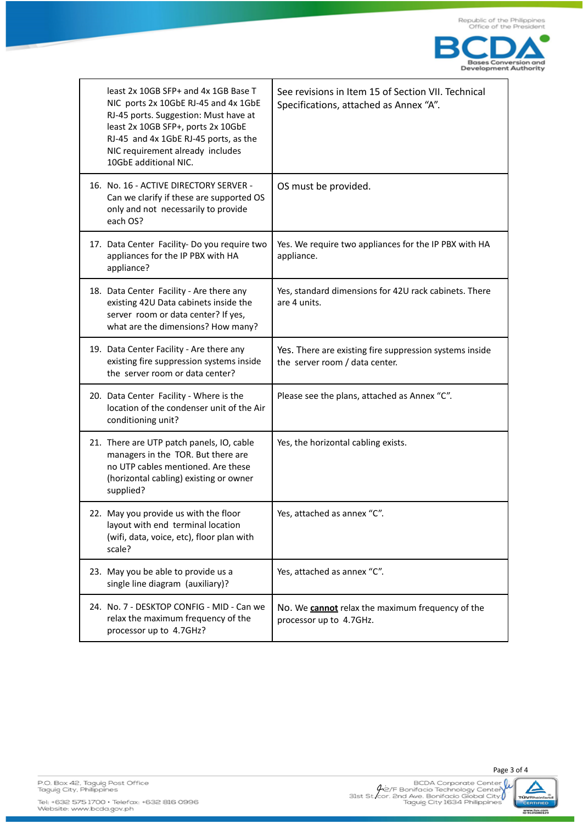

| least 2x 10GB SFP+ and 4x 1GB Base T<br>NIC ports 2x 10GbE RJ-45 and 4x 1GbE<br>RJ-45 ports. Suggestion: Must have at<br>least 2x 10GB SFP+, ports 2x 10GbE<br>RJ-45 and 4x 1GbE RJ-45 ports, as the<br>NIC requirement already includes<br>10GbE additional NIC. | See revisions in Item 15 of Section VII. Technical<br>Specifications, attached as Annex "A". |
|-------------------------------------------------------------------------------------------------------------------------------------------------------------------------------------------------------------------------------------------------------------------|----------------------------------------------------------------------------------------------|
| 16. No. 16 - ACTIVE DIRECTORY SERVER -<br>Can we clarify if these are supported OS<br>only and not necessarily to provide<br>each OS?                                                                                                                             | OS must be provided.                                                                         |
| 17. Data Center Facility-Do you require two<br>appliances for the IP PBX with HA<br>appliance?                                                                                                                                                                    | Yes. We require two appliances for the IP PBX with HA<br>appliance.                          |
| 18. Data Center Facility - Are there any<br>existing 42U Data cabinets inside the<br>server room or data center? If yes,<br>what are the dimensions? How many?                                                                                                    | Yes, standard dimensions for 42U rack cabinets. There<br>are 4 units.                        |
| 19. Data Center Facility - Are there any<br>existing fire suppression systems inside<br>the server room or data center?                                                                                                                                           | Yes. There are existing fire suppression systems inside<br>the server room / data center.    |
| 20. Data Center Facility - Where is the<br>location of the condenser unit of the Air<br>conditioning unit?                                                                                                                                                        | Please see the plans, attached as Annex "C".                                                 |
| 21. There are UTP patch panels, IO, cable<br>managers in the TOR. But there are<br>no UTP cables mentioned. Are these<br>(horizontal cabling) existing or owner<br>supplied?                                                                                      | Yes, the horizontal cabling exists.                                                          |
| 22. May you provide us with the floor<br>layout with end terminal location<br>(wifi, data, voice, etc), floor plan with<br>scale?                                                                                                                                 | Yes, attached as annex "C".                                                                  |
| 23. May you be able to provide us a<br>single line diagram (auxiliary)?                                                                                                                                                                                           | Yes, attached as annex "C".                                                                  |
| 24. No. 7 - DESKTOP CONFIG - MID - Can we<br>relax the maximum frequency of the<br>processor up to 4.7GHz?                                                                                                                                                        | No. We <b>cannot</b> relax the maximum frequency of the<br>processor up to 4.7GHz.           |





Page 3 of 4